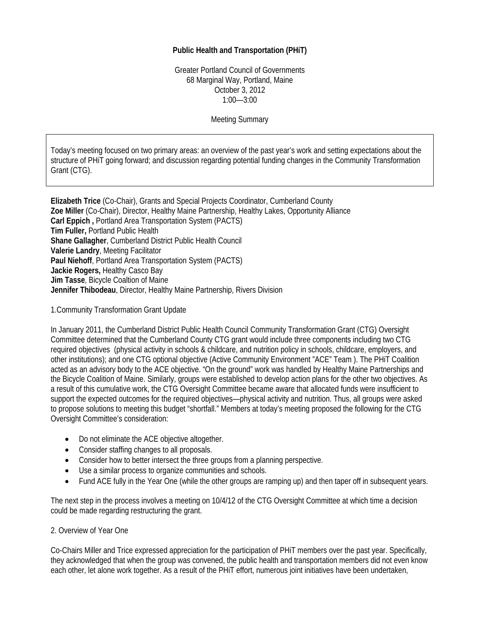## **Public Health and Transportation (PHiT)**

Greater Portland Council of Governments 68 Marginal Way, Portland, Maine October 3, 2012 1:00—3:00

Meeting Summary

Today's meeting focused on two primary areas: an overview of the past year's work and setting expectations about the structure of PHiT going forward; and discussion regarding potential funding changes in the Community Transformation Grant (CTG).

**Elizabeth Trice** (Co-Chair), Grants and Special Projects Coordinator, Cumberland County **Zoe Miller** (Co-Chair), Director, Healthy Maine Partnership, Healthy Lakes, Opportunity Alliance **Carl Eppich ,** Portland Area Transportation System (PACTS) **Tim Fuller,** Portland Public Health **Shane Gallagher**, Cumberland District Public Health Council **Valerie Landry**, Meeting Facilitator **Paul Niehoff**, Portland Area Transportation System (PACTS) **Jackie Rogers,** Healthy Casco Bay **Jim Tasse**, Bicycle Coaltion of Maine **Jennifer Thibodeau**, Director, Healthy Maine Partnership, Rivers Division

1.Community Transformation Grant Update

In January 2011, the Cumberland District Public Health Council Community Transformation Grant (CTG) Oversight Committee determined that the Cumberland County CTG grant would include three components including two CTG required objectives (physical activity in schools & childcare, and nutrition policy in schools, childcare, employers, and other institutions); and one CTG optional objective (Active Community Environment "ACE" Team ). The PHiT Coalition acted as an advisory body to the ACE objective. "On the ground" work was handled by Healthy Maine Partnerships and the Bicycle Coalition of Maine. Similarly, groups were established to develop action plans for the other two objectives. As a result of this cumulative work, the CTG Oversight Committee became aware that allocated funds were insufficient to support the expected outcomes for the required objectives—physical activity and nutrition. Thus, all groups were asked to propose solutions to meeting this budget "shortfall." Members at today's meeting proposed the following for the CTG Oversight Committee's consideration:

- Do not eliminate the ACE objective altogether.
- Consider staffing changes to all proposals.
- Consider how to better intersect the three groups from a planning perspective.
- Use a similar process to organize communities and schools.
- Fund ACE fully in the Year One (while the other groups are ramping up) and then taper off in subsequent years.

The next step in the process involves a meeting on 10/4/12 of the CTG Oversight Committee at which time a decision could be made regarding restructuring the grant.

## 2. Overview of Year One

Co-Chairs Miller and Trice expressed appreciation for the participation of PHiT members over the past year. Specifically, they acknowledged that when the group was convened, the public health and transportation members did not even know each other, let alone work together. As a result of the PHiT effort, numerous joint initiatives have been undertaken,